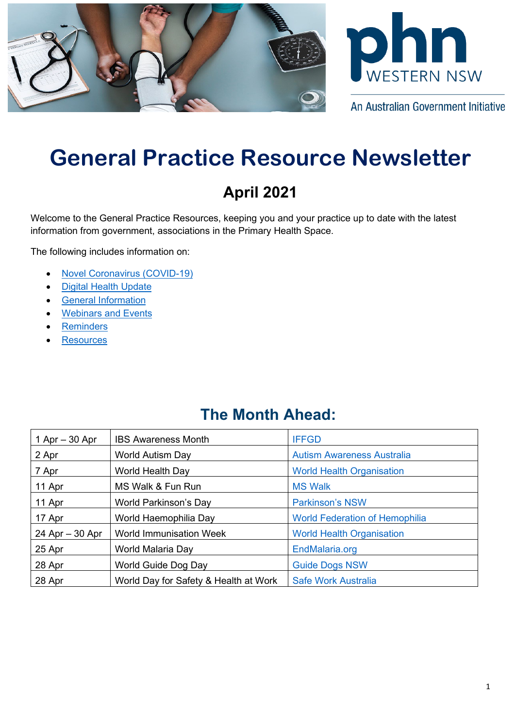



An Australian Government Initiative

# **General Practice Resource Newsletter**

## **April 2021**

Welcome to the General Practice Resources, keeping you and your practice up to date with the latest information from government, associations in the Primary Health Space.

The following includes information on:

- [Novel Coronavirus \(COVID-19\)](#page-0-0)
- [Digital Health Update](#page-1-0)
- [General Information](#page-2-0)
- **[Webinars](#page-4-0) and Events**
- **[Reminders](#page-7-0)**
- **[Resources](#page-7-1)**

## **The Month Ahead:**

<span id="page-0-0"></span>

| $1$ Apr $-$ 30 Apr | <b>IBS Awareness Month</b>            | <b>IFFGD</b>                          |
|--------------------|---------------------------------------|---------------------------------------|
| 2 Apr              | <b>World Autism Day</b>               | <b>Autism Awareness Australia</b>     |
| 7 Apr              | World Health Day                      | <b>World Health Organisation</b>      |
| 11 Apr             | MS Walk & Fun Run                     | <b>MS Walk</b>                        |
| 11 Apr             | World Parkinson's Day                 | <b>Parkinson's NSW</b>                |
| 17 Apr             | World Haemophilia Day                 | <b>World Federation of Hemophilia</b> |
| $24$ Apr $-30$ Apr | <b>World Immunisation Week</b>        | <b>World Health Organisation</b>      |
| 25 Apr             | World Malaria Day                     | EndMalaria.org                        |
| 28 Apr             | World Guide Dog Day                   | <b>Guide Dogs NSW</b>                 |
| 28 Apr             | World Day for Safety & Health at Work | <b>Safe Work Australia</b>            |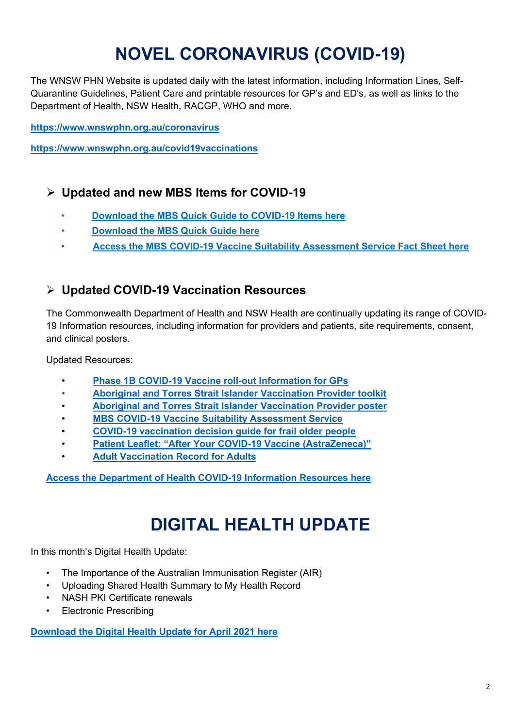# **NOVEL CORONAVIRUS (COVID-19)**

The WNSW PHN Website is updated daily with the latest information, including Information Lines, Self-Quarantine Guidelines, Patient Care and printable resources for GP's and ED's, as well as links to the Department of Health, NSW Health, RACGP, WHO and more.

**<https://www.wnswphn.org.au/coronavirus>**

**<https://www.wnswphn.org.au/covid19vaccinations>**

#### **Updated and new MBS Items for COVID-19**

- **[Download the MBS Quick Guide to COVID-19 Items here](https://www.wnswphn.org.au/uploads/documents/newsletters/GP%20Resources%20April%202021/mbs_card_mar21_covid-19_items.pdf)**
- **[Download the MBS Quick Guide here](https://www.wnswphn.org.au/uploads/documents/newsletters/GP%20Resources%20April%202021/mbs_card_mar21.pdf)**
- **[Access the MBS COVID-19 Vaccine Suitability Assessment Service Fact Sheet here](https://www.wnswphn.org.au/uploads/documents/newsletters/GP%20Resources%20March%202021/MBS%20Covid-19%20Vaccine%20Suitability%20Assessment%20Service%20(002).pdf)**

#### **Updated COVID-19 Vaccination Resources**

The Commonwealth Department of Health and NSW Health are continually updating its range of COVID-19 Information resources, including information for providers and patients, site requirements, consent, and clinical posters.

Updated Resources:

- **[Phase 1B COVID-19 Vaccine roll-out Information for GPs](https://www.wnswphn.org.au/uploads/documents/newsletters/GP%20Resources%20March%202021/covid-19-vaccination-phase-1b-covid-19-vaccine-roll-out-general-practical-guidance%20(002).pdf)**
- **[Aboriginal and Torres Strait Islander Vaccination Provider toolkit](https://aus01.safelinks.protection.outlook.com/?url=https%3A%2F%2Fwww.health.gov.au%2Fresources%2Fcollections%2Faboriginal-and-torres-strait-islander-vaccine-provider-kit%23vaccine-provider-kit&data=04%7C01%7Canthony.thompson%40wnswphn.org.au%7Ce02ccb6fdac74b372a3308d8f3f64acb%7C3a417f0a466542e0a2cb686915490e8a%7C0%7C0%7C637527586419650808%7CUnknown%7CTWFpbGZsb3d8eyJWIjoiMC4wLjAwMDAiLCJQIjoiV2luMzIiLCJBTiI6Ik1haWwiLCJXVCI6Mn0%3D%7C1000&sdata=ybsbsJI%2FFScyWYCze1SXzeb2sQC8whj343P7IY%2B46AE%3D&reserved=0)**
- **[Aboriginal and Torres Strait Islander Vaccination Provider poster](https://www.wnswphn.org.au/uploads/documents/newsletters/GP%20Resources%20April%202021/covid-19-vaccination-poster-aboriginal-and-torres-strait-islander-vaccine-providers-posters-pdf-covid-19-vaccination-site-aboriginal-and-torres-strait-isla%20(002).pdf)**
- **[MBS COVID-19 Vaccine Suitability Assessment Service](https://www.wnswphn.org.au/uploads/documents/newsletters/GP%20Resources%20March%202021/MBS%20Covid-19%20Vaccine%20Suitability%20Assessment%20Service%20(002).pdf)**
- **[COVID-19 vaccination decision guide for frail older people](https://www.wnswphn.org.au/uploads/documents/newsletters/GP%20Resources%20March%202021/covid-19-vaccination-covid-19-vaccination-decision-guide-for-frail-older-people-including-those-in-residential-aged-care-facilities%20(002).pdf)**
- **[Patient Leaflet: "After Your COVID-19 Vaccine \(AstraZeneca\)"](https://www.wnswphn.org.au/uploads/documents/newsletters/GP%20Resources%20April%202021/Patient%20Leaflet%20covid-19-vaccination-after-your-astrazeneca-vaccine%20(002).pdf)**
- **[Adult Vaccination Record for Adults](https://www.wnswphn.org.au/uploads/documents/newsletters/GP%20Resources%20March%202021/adult_vaccination_record%20(002).pdf)**

**[Access the Department of Health COVID-19 Information Resources here](https://aus01.safelinks.protection.outlook.com/?url=https%3A%2F%2Fwww.health.gov.au%2Fresources%2Fcollections%2Fcovid-19-vaccination-advice-for-covid-19-vaccine-providers&data=04%7C01%7Canthony.thompson%40wnswphn.org.au%7Ccac1ebabe9be47e0d7c008d8d211655d%7C3a417f0a466542e0a2cb686915490e8a%7C0%7C0%7C637490319441201211%7CUnknown%7CTWFpbGZsb3d8eyJWIjoiMC4wLjAwMDAiLCJQIjoiV2luMzIiLCJBTiI6Ik1haWwiLCJXVCI6Mn0%3D%7C1000&sdata=kOUxhyn5NyX8uYME3jF9VlGZFHlUgfsYs9c8XwxUgz8%3D&reserved=0)**

# **DIGITAL HEALTH UPDATE**

<span id="page-1-0"></span>In this month's Digital Health Update:

- The Importance of the Australian Immunisation Register (AIR)
- Uploading Shared Health Summary to My Health Record
- NASH PKI Certificate renewals
- Electronic Prescribing

**[Download the Digital Health Update for April](https://www.wnswphn.org.au/uploads/documents/newsletters/GP%20Resources%20April%202021/Digital%20Health%20Update_April2021Update.pdf) 2021 here**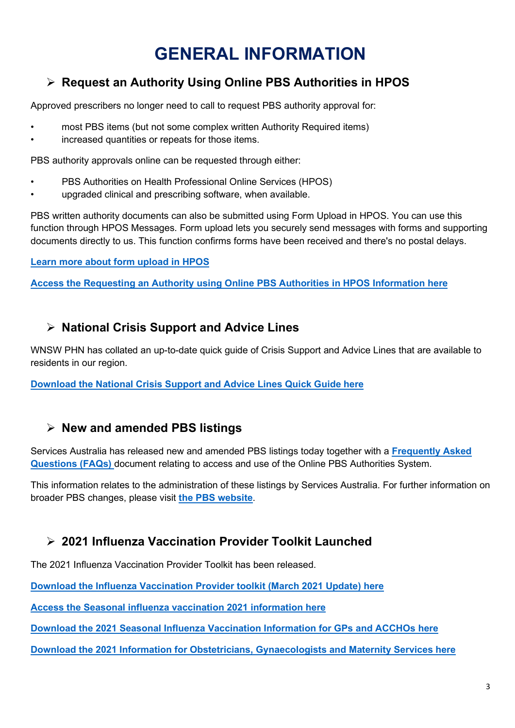# **GENERAL INFORMATION**

## <span id="page-2-0"></span>**Request an Authority Using Online PBS Authorities in HPOS**

Approved prescribers no longer need to call to request PBS authority approval for:

- most PBS items (but not some complex written Authority Required items)
- increased quantities or repeats for those items.

PBS authority approvals online can be requested through either:

- PBS Authorities on Health Professional Online Services (HPOS)
- upgraded clinical and prescribing software, when available.

PBS written authority documents can also be submitted using Form Upload in HPOS. You can use this function through HPOS Messages. Form upload lets you securely send messages with forms and supporting documents directly to us. This function confirms forms have been received and there's no postal delays.

#### **[Learn more about form upload in HPOS](https://www.servicesaustralia.gov.au/organisations/health-professionals/topics/form-upload-hpos/35906)**

**[Access the Requesting an Authority using Online PBS Authorities in HPOS Information here](https://www.servicesaustralia.gov.au/organisations/health-professionals/services/medicare/pbs-prescribers/resources/request-authority-using-online-pbs-authorities-hpos)**

#### **National Crisis Support and Advice Lines**

WNSW PHN has collated an up-to-date quick guide of Crisis Support and Advice Lines that are available to residents in our region.

**[Download the National Crisis Support and Advice Lines Quick Guide here](https://www.wnswphn.org.au/uploads/documents/newsletters/GP%20Resources%20April%202021/National%20Crisis%20Support%20and%20Advice%20Services.pdf)**

#### **New and amended PBS listings**

Services Australia has released new and amended PBS listings today together with a **[Frequently Asked](https://aus01.safelinks.protection.outlook.com/?url=https%3A%2F%2Faapm.memnet.com.au%2Fmemberselfservice%2FDistributionTracking%2FTrackLinks.aspx%3Fhref%3Dhttps%25253A%25252F%25252Fwww.aapm.org.au%25252FKnowledge-Hub%25252FLatest-News%25252Ffaqs-for-new-and-amended-pbs-listings-from-01-march-2021-faqs%26record%3Dad4dee4b-10a4-46e2-b92f-43a42c7052f5&data=04%7C01%7Canthony.thompson%40wnswphn.org.au%7C40b3221a0ce64dda8be308d8dd2106de%7C3a417f0a466542e0a2cb686915490e8a%7C0%7C0%7C637502481203859849%7CUnknown%7CTWFpbGZsb3d8eyJWIjoiMC4wLjAwMDAiLCJQIjoiV2luMzIiLCJBTiI6Ik1haWwiLCJXVCI6Mn0%3D%7C1000&sdata=CMSGuTRg7Zof89%2F3juaeiLuJ02HcGQ8kj%2BmjMC6HjEs%3D&reserved=0)  [Questions \(FAQs\)](https://aus01.safelinks.protection.outlook.com/?url=https%3A%2F%2Faapm.memnet.com.au%2Fmemberselfservice%2FDistributionTracking%2FTrackLinks.aspx%3Fhref%3Dhttps%25253A%25252F%25252Fwww.aapm.org.au%25252FKnowledge-Hub%25252FLatest-News%25252Ffaqs-for-new-and-amended-pbs-listings-from-01-march-2021-faqs%26record%3Dad4dee4b-10a4-46e2-b92f-43a42c7052f5&data=04%7C01%7Canthony.thompson%40wnswphn.org.au%7C40b3221a0ce64dda8be308d8dd2106de%7C3a417f0a466542e0a2cb686915490e8a%7C0%7C0%7C637502481203859849%7CUnknown%7CTWFpbGZsb3d8eyJWIjoiMC4wLjAwMDAiLCJQIjoiV2luMzIiLCJBTiI6Ik1haWwiLCJXVCI6Mn0%3D%7C1000&sdata=CMSGuTRg7Zof89%2F3juaeiLuJ02HcGQ8kj%2BmjMC6HjEs%3D&reserved=0)** document relating to access and use of the Online PBS Authorities System.

This information relates to the administration of these listings by Services Australia. For further information on broader PBS changes, please visit **[the PBS website](https://aus01.safelinks.protection.outlook.com/?url=https%3A%2F%2Faapm.memnet.com.au%2Fmemberselfservice%2FDistributionTracking%2FTrackLinks.aspx%3Fhref%3Dhttps%25253A%25252F%25252Fwww.pbs.gov.au%25252Fpbs%25252Fhome%26record%3Dad4dee4b-10a4-46e2-b92f-43a42c7052f5&data=04%7C01%7Canthony.thompson%40wnswphn.org.au%7C40b3221a0ce64dda8be308d8dd2106de%7C3a417f0a466542e0a2cb686915490e8a%7C0%7C0%7C637502481203859849%7CUnknown%7CTWFpbGZsb3d8eyJWIjoiMC4wLjAwMDAiLCJQIjoiV2luMzIiLCJBTiI6Ik1haWwiLCJXVCI6Mn0%3D%7C1000&sdata=8vHZtyI5l8VxCZvQS4VAL3YrmyE61x%2F7th0CbwCPg%2FA%3D&reserved=0)**.

#### **2021 Influenza Vaccination Provider Toolkit Launched**

The 2021 Influenza Vaccination Provider Toolkit has been released.

**[Download the Influenza Vaccination Provider toolkit \(March 2021 Update\) here](https://www.health.nsw.gov.au/immunisation/Publications/flu-provider-toolkit.pdf)**

**Access the [Seasonal influenza vaccination 2021 information here](https://www.health.nsw.gov.au/immunisation/Pages/flu.aspx)**

**[Download the 2021 Seasonal Influenza Vaccination Information for GPs and ACCHOs here](https://www.wnswphn.org.au/uploads/documents/newsletters/GP%20Resources%20April%202021/Fax%20to%20GPs%20and%20ACCHOs%20re%20influenza%20Feb%202021.pdf)**

**[Download the 2021 Information for Obstetricians, Gynaecologists and Maternity Services here](https://www.wnswphn.org.au/uploads/documents/newsletters/GP%20Resources%20April%202021/H21%2040048%20%20Fax%20to%20obstetricians%20and%20maternity%20services%20re%20influenza%202021Final.pdf)**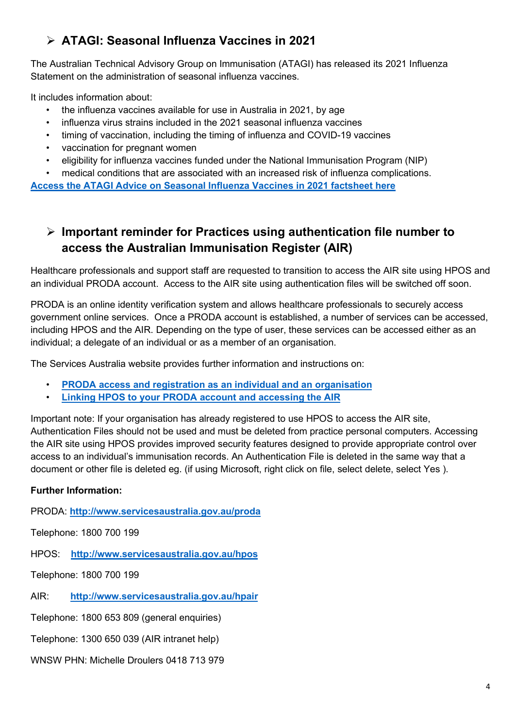## **ATAGI: Seasonal Influenza Vaccines in 2021**

The Australian Technical Advisory Group on Immunisation (ATAGI) has released its 2021 Influenza Statement on the administration of seasonal influenza vaccines.

It includes information about:

- the influenza vaccines available for use in Australia in 2021, by age
- influenza virus strains included in the 2021 seasonal influenza vaccines
- timing of vaccination, including the timing of influenza and COVID-19 vaccines
- vaccination for pregnant women
- eligibility for influenza vaccines funded under the National Immunisation Program (NIP)

• medical conditions that are associated with an increased risk of influenza complications.

**[Access the ATAGI Advice on Seasonal Influenza Vaccines in 2021 factsheet here](https://campaigns.heartfoundation.org.au/ambassador-program/)**

## **Important reminder for Practices using authentication file number to access the Australian Immunisation Register (AIR)**

Healthcare professionals and support staff are requested to transition to access the AIR site using HPOS and an individual PRODA account. Access to the AIR site using authentication files will be switched off soon.

PRODA is an online identity verification system and allows healthcare professionals to securely access government online services. Once a PRODA account is established, a number of services can be accessed, including HPOS and the AIR. Depending on the type of user, these services can be accessed either as an individual; a delegate of an individual or as a member of an organisation.

The Services Australia website provides further information and instructions on:

- **[PRODA access and registration as an individual and an organisation](https://www.servicesaustralia.gov.au/organisations/business/services/proda-provider-digital-access)**
- **[Linking HPOS to your PRODA account and accessing the AIR](https://www.servicesaustralia.gov.au/organisations/business/topics/adding-and-linking-hpos-air/53136)**

Important note: If your organisation has already registered to use HPOS to access the AIR site, Authentication Files should not be used and must be deleted from practice personal computers. Accessing the AIR site using HPOS provides improved security features designed to provide appropriate control over access to an individual's immunisation records. An Authentication File is deleted in the same way that a document or other file is deleted eg. (if using Microsoft, right click on file, select delete, select Yes ).

#### **Further Information:**

PRODA: **<http://www.servicesaustralia.gov.au/proda>**

Telephone: 1800 700 199

HPOS: **<http://www.servicesaustralia.gov.au/hpos>**

Telephone: 1800 700 199

AIR: **<http://www.servicesaustralia.gov.au/hpair>**

Telephone: 1800 653 809 (general enquiries)

Telephone: 1300 650 039 (AIR intranet help)

WNSW PHN: Michelle Droulers 0418 713 979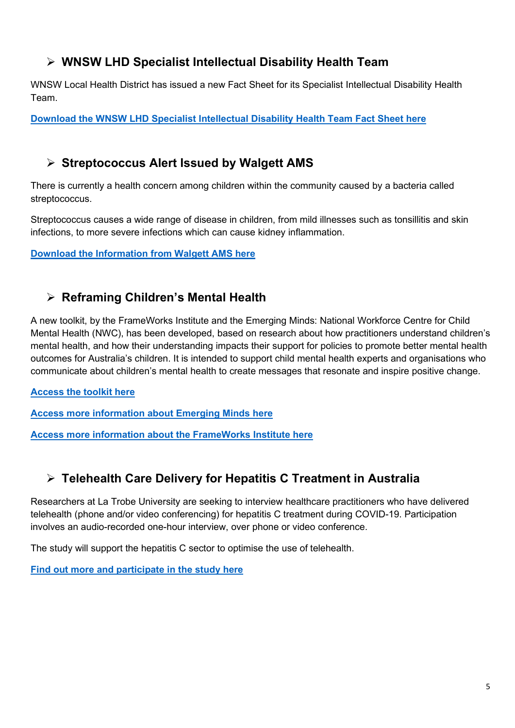## **WNSW LHD Specialist Intellectual Disability Health Team**

WNSW Local Health District has issued a new Fact Sheet for its Specialist Intellectual Disability Health Team.

**[Download the WNSW LHD Specialist Intellectual Disability Health Team Fact Sheet here](https://www.wnswphn.org.au/uploads/documents/newsletters/GP%20Resources%20April%202021/WNSWLHD%20fact%20sheet.%20GP.pdf)**

### **Streptococcus Alert Issued by Walgett AMS**

There is currently a health concern among children within the community caused by a bacteria called streptococcus.

Streptococcus causes a wide range of disease in children, from mild illnesses such as tonsillitis and skin infections, to more severe infections which can cause kidney inflammation.

**[Download the Information from Walgett AMS here](https://www.wnswphn.org.au/uploads/documents/newsletters/GP%20Resources%20April%202021/UPDATE%20-%20INFORMAITON%20SHEET.docx)**

### **Reframing Children's Mental Health**

A new toolkit, by the FrameWorks Institute and the Emerging Minds: National Workforce Centre for Child Mental Health (NWC), has been developed, based on research about how practitioners understand children's mental health, and how their understanding impacts their support for policies to promote better mental health outcomes for Australia's children. It is intended to support child mental health experts and organisations who communicate about children's mental health to create messages that resonate and inspire positive change.

**[Access the toolkit here](https://aus01.safelinks.protection.outlook.com/?url=https%3A%2F%2Fsender9.zohoinsights.com%2Focgeturl%2F2d6f.327230a%3Fl%3Db23169e1-91d0-11eb-a06b-5254005f6e3c%26m%3Db1b7a600-91d0-11eb-b786-525400fa05f6%26h%3D9d972bc2545b3f6a0cd053646fc406c2165533c4492d2699872ed04d5b71d9fe&data=04%7C01%7Canthony.thompson%40wnswphn.org.au%7C954dd03010524a09e09408d8f3f49a27%7C3a417f0a466542e0a2cb686915490e8a%7C0%7C1%7C637527579186391911%7CUnknown%7CTWFpbGZsb3d8eyJWIjoiMC4wLjAwMDAiLCJQIjoiV2luMzIiLCJBTiI6Ik1haWwiLCJXVCI6Mn0%3D%7C2000&sdata=emFnh8k%2FeLJXGLW6nSOQQKOyLuN4REYGpFM9ViEerkI%3D&reserved=0)**

**[Access more information about Emerging Minds here](https://aus01.safelinks.protection.outlook.com/?url=https%3A%2F%2Fsender9.zohoinsights.com%2Focgeturl%2F2d6f.327230a%3Fl%3Db23169e2-91d0-11eb-a06b-5254005f6e3c%26m%3Db1b7a600-91d0-11eb-b786-525400fa05f6%26h%3D9d972bc2545b3f6a0cd053646fc406c2165533c4492d2699872ed04d5b71d9fe&data=04%7C01%7Canthony.thompson%40wnswphn.org.au%7C954dd03010524a09e09408d8f3f49a27%7C3a417f0a466542e0a2cb686915490e8a%7C0%7C1%7C637527579186391911%7CUnknown%7CTWFpbGZsb3d8eyJWIjoiMC4wLjAwMDAiLCJQIjoiV2luMzIiLCJBTiI6Ik1haWwiLCJXVCI6Mn0%3D%7C2000&sdata=SisLmNSjYSZJpX4g0%2FCi6bmAaWr%2FGZHgXos%2BIOJGncY%3D&reserved=0)**

**[Access more information about the FrameWorks Institute here](https://aus01.safelinks.protection.outlook.com/?url=https%3A%2F%2Fsender9.zohoinsights.com%2Focgeturl%2F2d6f.327230a%3Fl%3Db23169e3-91d0-11eb-a06b-5254005f6e3c%26m%3Db1b7a600-91d0-11eb-b786-525400fa05f6%26h%3D9d972bc2545b3f6a0cd053646fc406c2165533c4492d2699872ed04d5b71d9fe&data=04%7C01%7Canthony.thompson%40wnswphn.org.au%7C954dd03010524a09e09408d8f3f49a27%7C3a417f0a466542e0a2cb686915490e8a%7C0%7C1%7C637527579186401877%7CUnknown%7CTWFpbGZsb3d8eyJWIjoiMC4wLjAwMDAiLCJQIjoiV2luMzIiLCJBTiI6Ik1haWwiLCJXVCI6Mn0%3D%7C2000&sdata=vYCoHKpviMdxler0aKDqbX6ho1k0c4iG4HDMG6issEU%3D&reserved=0)**

## **Telehealth Care Delivery for Hepatitis C Treatment in Australia**

Researchers at La Trobe University are seeking to interview healthcare practitioners who have delivered telehealth (phone and/or video conferencing) for hepatitis C treatment during COVID-19. Participation involves an audio-recorded one-hour interview, over phone or video conference.

The study will support the hepatitis C sector to optimise the use of telehealth.

<span id="page-4-0"></span>**[Find out more and participate in the study here](https://drugsgenderandsexuality.org/2021/02/04/update-telehealth-for-hepatitis-c-treatment/)**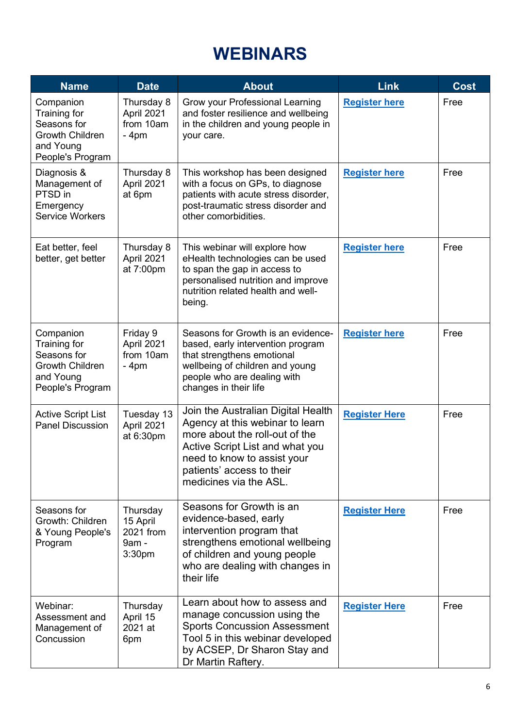# **WEBINARS**

| <b>Name</b>                                                                                         | <b>Date</b>                                                      | <b>About</b>                                                                                                                                                                                                                     | <b>Link</b>          | <b>Cost</b> |
|-----------------------------------------------------------------------------------------------------|------------------------------------------------------------------|----------------------------------------------------------------------------------------------------------------------------------------------------------------------------------------------------------------------------------|----------------------|-------------|
| Companion<br>Training for<br>Seasons for<br><b>Growth Children</b><br>and Young<br>People's Program | Thursday 8<br>April 2021<br>from 10am<br>$-4pm$                  | Grow your Professional Learning<br>and foster resilience and wellbeing<br>in the children and young people in<br>your care.                                                                                                      | <b>Register here</b> | Free        |
| Diagnosis &<br>Management of<br>PTSD in<br>Emergency<br><b>Service Workers</b>                      | Thursday 8<br>April 2021<br>at 6pm                               | This workshop has been designed<br>with a focus on GPs, to diagnose<br>patients with acute stress disorder,<br>post-traumatic stress disorder and<br>other comorbidities.                                                        | <b>Register here</b> | Free        |
| Eat better, feel<br>better, get better                                                              | Thursday 8<br>April 2021<br>at 7:00pm                            | This webinar will explore how<br>eHealth technologies can be used<br>to span the gap in access to<br>personalised nutrition and improve<br>nutrition related health and well-<br>being.                                          | <b>Register here</b> | Free        |
| Companion<br>Training for<br>Seasons for<br><b>Growth Children</b><br>and Young<br>People's Program | Friday 9<br>April 2021<br>from 10am<br>$-4pm$                    | Seasons for Growth is an evidence-<br>based, early intervention program<br>that strengthens emotional<br>wellbeing of children and young<br>people who are dealing with<br>changes in their life                                 | <b>Register here</b> | Free        |
| <b>Active Script List</b><br><b>Panel Discussion</b>                                                | Tuesday 13<br>April 2021<br>at 6:30pm                            | Join the Australian Digital Health<br>Agency at this webinar to learn<br>more about the roll-out of the<br>Active Script List and what you<br>need to know to assist your<br>patients' access to their<br>medicines via the ASL. | <b>Register Here</b> | Free        |
| Seasons for<br>Growth: Children<br>& Young People's<br>Program                                      | Thursday<br>15 April<br>2021 from<br>9am -<br>3:30 <sub>pm</sub> | Seasons for Growth is an<br>evidence-based, early<br>intervention program that<br>strengthens emotional wellbeing<br>of children and young people<br>who are dealing with changes in<br>their life                               | <b>Register Here</b> | Free        |
| Webinar:<br>Assessment and<br>Management of<br>Concussion                                           | Thursday<br>April 15<br>2021 at<br>6pm                           | Learn about how to assess and<br>manage concussion using the<br><b>Sports Concussion Assessment</b><br>Tool 5 in this webinar developed<br>by ACSEP, Dr Sharon Stay and<br>Dr Martin Raftery.                                    | <b>Register Here</b> | Free        |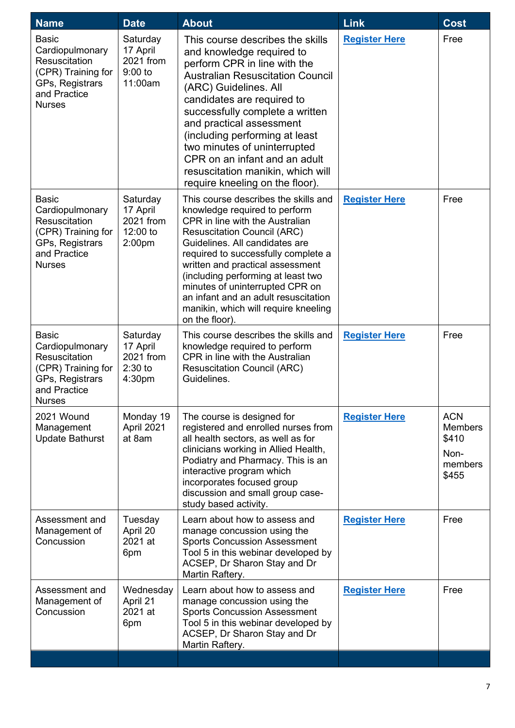| <b>Name</b>                                                                                                                       | <b>Date</b>                                                          | <b>About</b>                                                                                                                                                                                                                                                                                                                                                                                                                              | Link                 | Cost                                                              |
|-----------------------------------------------------------------------------------------------------------------------------------|----------------------------------------------------------------------|-------------------------------------------------------------------------------------------------------------------------------------------------------------------------------------------------------------------------------------------------------------------------------------------------------------------------------------------------------------------------------------------------------------------------------------------|----------------------|-------------------------------------------------------------------|
| <b>Basic</b><br>Cardiopulmonary<br>Resuscitation<br>(CPR) Training for<br>GPs, Registrars<br>and Practice<br><b>Nurses</b>        | Saturday<br>17 April<br>2021 from<br>$9:00$ to<br>11:00am            | This course describes the skills<br>and knowledge required to<br>perform CPR in line with the<br><b>Australian Resuscitation Council</b><br>(ARC) Guidelines. All<br>candidates are required to<br>successfully complete a written<br>and practical assessment<br>(including performing at least<br>two minutes of uninterrupted<br>CPR on an infant and an adult<br>resuscitation manikin, which will<br>require kneeling on the floor). | <b>Register Here</b> | Free                                                              |
| <b>Basic</b><br>Cardiopulmonary<br><b>Resuscitation</b><br>(CPR) Training for<br>GPs, Registrars<br>and Practice<br><b>Nurses</b> | Saturday<br>17 April<br>2021 from<br>12:00 to<br>2:00 <sub>pm</sub>  | This course describes the skills and<br>knowledge required to perform<br>CPR in line with the Australian<br><b>Resuscitation Council (ARC)</b><br>Guidelines. All candidates are<br>required to successfully complete a<br>written and practical assessment<br>(including performing at least two<br>minutes of uninterrupted CPR on<br>an infant and an adult resuscitation<br>manikin, which will require kneeling<br>on the floor).    | <b>Register Here</b> | Free                                                              |
| <b>Basic</b><br>Cardiopulmonary<br>Resuscitation<br>(CPR) Training for<br>GPs, Registrars<br>and Practice<br><b>Nurses</b>        | Saturday<br>17 April<br>2021 from<br>$2:30$ to<br>4:30 <sub>pm</sub> | This course describes the skills and<br>knowledge required to perform<br>CPR in line with the Australian<br><b>Resuscitation Council (ARC)</b><br>Guidelines.                                                                                                                                                                                                                                                                             | <b>Register Here</b> | Free                                                              |
| 2021 Wound<br>Management<br><b>Update Bathurst</b>                                                                                | Monday 19<br>April 2021<br>at 8am                                    | The course is designed for<br>registered and enrolled nurses from<br>all health sectors, as well as for<br>clinicians working in Allied Health,<br>Podiatry and Pharmacy. This is an<br>interactive program which<br>incorporates focused group<br>discussion and small group case-<br>study based activity.                                                                                                                              | <b>Register Here</b> | <b>ACN</b><br><b>Members</b><br>\$410<br>Non-<br>members<br>\$455 |
| Assessment and<br>Management of<br>Concussion                                                                                     | Tuesday<br>April 20<br>2021 at<br>6pm                                | Learn about how to assess and<br>manage concussion using the<br><b>Sports Concussion Assessment</b><br>Tool 5 in this webinar developed by<br>ACSEP, Dr Sharon Stay and Dr<br>Martin Raftery.                                                                                                                                                                                                                                             | <b>Register Here</b> | Free                                                              |
| Assessment and<br>Management of<br>Concussion                                                                                     | Wednesday<br>April 21<br>2021 at<br>6pm                              | Learn about how to assess and<br>manage concussion using the<br><b>Sports Concussion Assessment</b><br>Tool 5 in this webinar developed by<br>ACSEP, Dr Sharon Stay and Dr<br>Martin Raftery.                                                                                                                                                                                                                                             | <b>Register Here</b> | Free                                                              |
|                                                                                                                                   |                                                                      |                                                                                                                                                                                                                                                                                                                                                                                                                                           |                      |                                                                   |